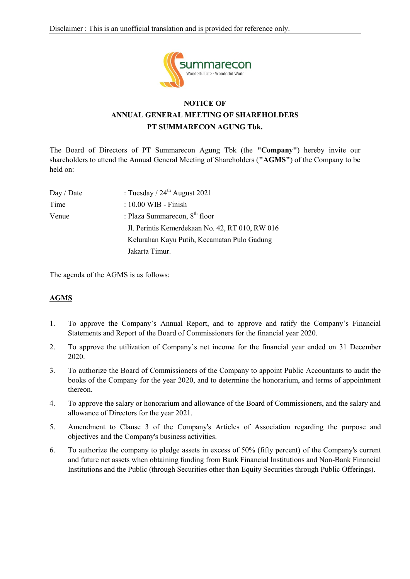

# **NOTICE OF ANNUAL GENERAL MEETING OF SHAREHOLDERS PT SUMMARECON AGUNG Tbk.**

The Board of Directors of PT Summarecon Agung Tbk (the **"Company"**) hereby invite our shareholders to attend the Annual General Meeting of Shareholders (**"AGMS"**) of the Company to be held on:

| Day / Date | : Tuesday / $24th$ August 2021                  |
|------------|-------------------------------------------------|
| Time       | : 10.00 WIB - Finish                            |
| Venue      | : Plaza Summarecon, $8th$ floor                 |
|            | Jl. Perintis Kemerdekaan No. 42, RT 010, RW 016 |
|            | Kelurahan Kayu Putih, Kecamatan Pulo Gadung     |
|            | Jakarta Timur.                                  |

The agenda of the AGMS is as follows:

## **AGMS**

- 1. To approve the Company's Annual Report, and to approve and ratify the Company's Financial Statements and Report of the Board of Commissioners for the financial year 2020.
- 2. To approve the utilization of Company's net income for the financial year ended on 31 December 2020.
- 3. To authorize the Board of Commissioners of the Company to appoint Public Accountants to audit the books of the Company for the year 2020, and to determine the honorarium, and terms of appointment thereon.
- 4. To approve the salary or honorarium and allowance of the Board of Commissioners, and the salary and allowance of Directors for the year 2021.
- 5. Amendment to Clause 3 of the Company's Articles of Association regarding the purpose and objectives and the Company's business activities.
- 6. To authorize the company to pledge assets in excess of 50% (fifty percent) of the Company's current and future net assets when obtaining funding from Bank Financial Institutions and Non-Bank Financial Institutions and the Public (through Securities other than Equity Securities through Public Offerings).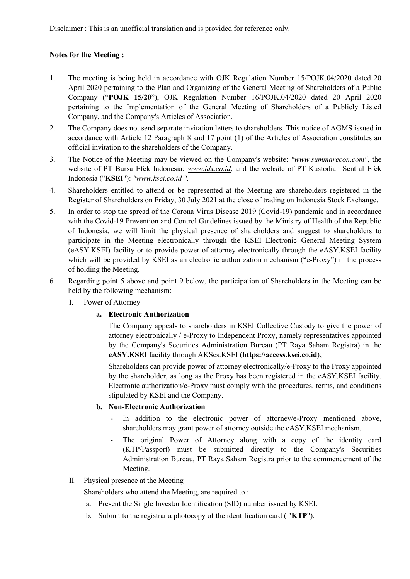## **Notes for the Meeting :**

- 1. The meeting is being held in accordance with OJK Regulation Number 15/POJK.04/2020 dated 20 April 2020 pertaining to the Plan and Organizing of the General Meeting of Shareholders of a Public Company ("**POJK 15/20**"), OJK Regulation Number 16/POJK.04/2020 dated 20 April 2020 pertaining to the Implementation of the General Meeting of Shareholders of a Publicly Listed Company, and the Company's Articles of Association.
- 2. The Company does not send separate invitation letters to shareholders. This notice of AGMS issued in accordance with Article 12 Paragraph 8 and 17 point (1) of the Articles of Association constitutes an official invitation to the shareholders of the Company.
- 3. The Notice of the Meeting may be viewed on the Company's website: *"www.summarecon.com"*, the website of PT Bursa Efek Indonesia: *www.idx.co.id*, and the website of PT Kustodian Sentral Efek Indonesia ("**KSEI**"): *"www.ksei.co.id "*.
- 4. Shareholders entitled to attend or be represented at the Meeting are shareholders registered in the Register of Shareholders on Friday, 30 July 2021 at the close of trading on Indonesia Stock Exchange.
- 5. In order to stop the spread of the Corona Virus Disease 2019 (Covid-19) pandemic and in accordance with the Covid-19 Prevention and Control Guidelines issued by the Ministry of Health of the Republic of Indonesia, we will limit the physical presence of shareholders and suggest to shareholders to participate in the Meeting electronically through the KSEI Electronic General Meeting System (eASY.KSEI) facility or to provide power of attorney electronically through the eASY.KSEI facility which will be provided by KSEI as an electronic authorization mechanism ("e-Proxy") in the process of holding the Meeting.
- 6. Regarding point 5 above and point 9 below, the participation of Shareholders in the Meeting can be held by the following mechanism:
	- I. Power of Attorney

#### **a. Electronic Authorization**

The Company appeals to shareholders in KSEI Collective Custody to give the power of attorney electronically / e-Proxy to Independent Proxy, namely representatives appointed by the Company's Securities Administration Bureau (PT Raya Saham Registra) in the **eASY.KSEI** facility through AKSes.KSEI (**https://access.ksei.co.id**);

Shareholders can provide power of attorney electronically/e-Proxy to the Proxy appointed by the shareholder, as long as the Proxy has been registered in the eASY.KSEI facility. Electronic authorization/e-Proxy must comply with the procedures, terms, and conditions stipulated by KSEI and the Company.

#### **b. Non-Electronic Authorization**

- In addition to the electronic power of attorney/e-Proxy mentioned above, shareholders may grant power of attorney outside the eASY.KSEI mechanism.
- The original Power of Attorney along with a copy of the identity card (KTP/Passport) must be submitted directly to the Company's Securities Administration Bureau, PT Raya Saham Registra prior to the commencement of the Meeting.

## II. Physical presence at the Meeting

Shareholders who attend the Meeting, are required to :

- a. Present the Single Investor Identification (SID) number issued by KSEI.
- b. Submit to the registrar a photocopy of the identification card ( "**KTP**").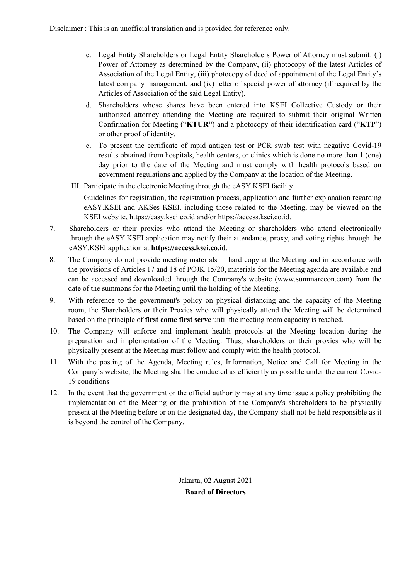- c. Legal Entity Shareholders or Legal Entity Shareholders Power of Attorney must submit: (i) Power of Attorney as determined by the Company, (ii) photocopy of the latest Articles of Association of the Legal Entity, (iii) photocopy of deed of appointment of the Legal Entity's latest company management, and (iv) letter of special power of attorney (if required by the Articles of Association of the said Legal Entity).
- d. Shareholders whose shares have been entered into KSEI Collective Custody or their authorized attorney attending the Meeting are required to submit their original Written Confirmation for Meeting ("**KTUR"**) and a photocopy of their identification card ("**KTP**") or other proof of identity.
- e. To present the certificate of rapid antigen test or PCR swab test with negative Covid-19 results obtained from hospitals, health centers, or clinics which is done no more than 1 (one) day prior to the date of the Meeting and must comply with health protocols based on government regulations and applied by the Company at the location of the Meeting.
- III. Participate in the electronic Meeting through the eASY.KSEI facility

Guidelines for registration, the registration process, application and further explanation regarding eASY.KSEI and AKSes KSEI, including those related to the Meeting, may be viewed on the KSEI website, https://easy.ksei.co.id and/or https://access.ksei.co.id.

- 7. Shareholders or their proxies who attend the Meeting or shareholders who attend electronically through the eASY.KSEI application may notify their attendance, proxy, and voting rights through the eASY.KSEI application at **https://access.ksei.co.id**.
- 8. The Company do not provide meeting materials in hard copy at the Meeting and in accordance with the provisions of Articles 17 and 18 of POJK 15/20, materials for the Meeting agenda are available and can be accessed and downloaded through the Company's website (www.summarecon.com) from the date of the summons for the Meeting until the holding of the Meeting.
- 9. With reference to the government's policy on physical distancing and the capacity of the Meeting room, the Shareholders or their Proxies who will physically attend the Meeting will be determined based on the principle of **first come first serve** until the meeting room capacity is reached.
- 10. The Company will enforce and implement health protocols at the Meeting location during the preparation and implementation of the Meeting. Thus, shareholders or their proxies who will be physically present at the Meeting must follow and comply with the health protocol.
- 11. With the posting of the Agenda, Meeting rules, Information, Notice and Call for Meeting in the Company's website, the Meeting shall be conducted as efficiently as possible under the current Covid-19 conditions
- 12. In the event that the government or the official authority may at any time issue a policy prohibiting the implementation of the Meeting or the prohibition of the Company's shareholders to be physically present at the Meeting before or on the designated day, the Company shall not be held responsible as it is beyond the control of the Company.

Jakarta, 02 August 2021 **Board of Directors**